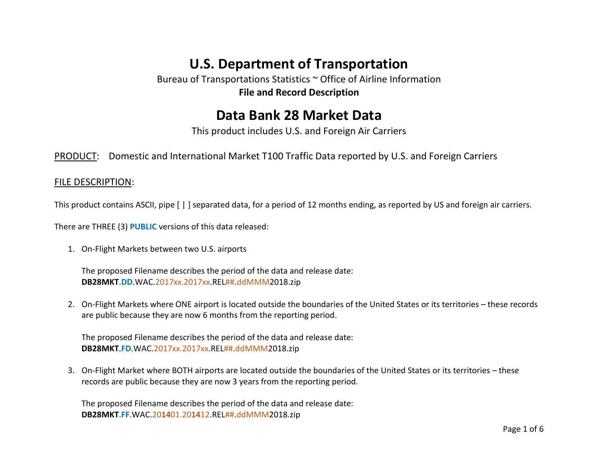# **U.S. Department of Transportation**

Bureau of Transportations Statistics ~ Office of Airline Information **File and Record Description**

## **Data Bank 28 Market Data**

This product includes U.S. and Foreign Air Carriers

PRODUCT: Domestic and International Market T100 Traffic Data reported by U.S. and Foreign Carriers

#### FILE DESCRIPTION:

This product contains ASCII, pipe [ | ] separated data, for a period of 12 months ending, as reported by US and foreign air carriers.

There are THREE (3) **PUBLIC** versions of this data released:

1. On-Flight Markets between two U.S. airports

The proposed Filename describes the period of the data and release date: **DB28MKT**.**DD**.WAC.2017xx.2017xx.REL##.ddMMM2018.zip

2. On-Flight Markets where ONE airport is located outside the boundaries of the United States or its territories – these records are public because they are now 6 months from the reporting period.

The proposed Filename describes the period of the data and release date: **DB28MKT**.**FD**.WAC.2017xx.2017xx.REL##.ddMMM2018.zip

3. On-Flight Market where BOTH airports are located outside the boundaries of the United States or its territories – these records are public because they are now 3 years from the reporting period.

The proposed Filename describes the period of the data and release date: **DB28MKT**.**FF**.WAC.20**14**01.20**14**12.REL##.ddMMM2018.zip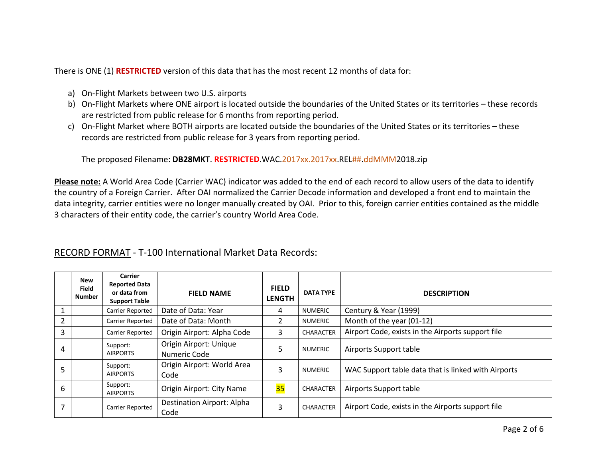There is ONE (1) **RESTRICTED** version of this data that has the most recent 12 months of data for:

- a) On-Flight Markets between two U.S. airports
- b) On-Flight Markets where ONE airport is located outside the boundaries of the United States or its territories these records are restricted from public release for 6 months from reporting period.
- c) On-Flight Market where BOTH airports are located outside the boundaries of the United States or its territories these records are restricted from public release for 3 years from reporting period.

The proposed Filename: **DB28MKT**. **RESTRICTED**.WAC.2017xx.2017xx.REL##.ddMMM2018.zip

**Please note:** A World Area Code (Carrier WAC) indicator was added to the end of each record to allow users of the data to identify the country of a Foreign Carrier. After OAI normalized the Carrier Decode information and developed a front end to maintain the data integrity, carrier entities were no longer manually created by OAI. Prior to this, foreign carrier entities contained as the middle 3 characters of their entity code, the carrier's country World Area Code.

|               | New<br><b>Field</b><br><b>Number</b> | Carrier<br><b>Reported Data</b><br>or data from<br><b>Support Table</b> | <b>FIELD NAME</b>                      | <b>FIELD</b><br><b>LENGTH</b> | <b>DATA TYPE</b> | <b>DESCRIPTION</b>                                  |
|---------------|--------------------------------------|-------------------------------------------------------------------------|----------------------------------------|-------------------------------|------------------|-----------------------------------------------------|
| $\mathbf{1}$  |                                      | Carrier Reported                                                        | Date of Data: Year                     | 4                             | NUMERIC          | Century & Year (1999)                               |
| $\mathcal{L}$ |                                      | Carrier Reported                                                        | Date of Data: Month                    | $\mathcal{L}$                 | <b>NUMERIC</b>   | Month of the year (01-12)                           |
| 3             |                                      | Carrier Reported                                                        | Origin Airport: Alpha Code             | 3                             | <b>CHARACTER</b> | Airport Code, exists in the Airports support file   |
| 4             |                                      | Support:<br><b>AIRPORTS</b>                                             | Origin Airport: Unique<br>Numeric Code | 5                             | <b>NUMERIC</b>   | Airports Support table                              |
|               |                                      | Support:<br><b>AIRPORTS</b>                                             | Origin Airport: World Area<br>Code     | 3                             | <b>NUMERIC</b>   | WAC Support table data that is linked with Airports |
| 6             |                                      | Support:<br><b>AIRPORTS</b>                                             | Origin Airport: City Name              | 35                            | <b>CHARACTER</b> | Airports Support table                              |
| 7             |                                      | Carrier Reported                                                        | Destination Airport: Alpha<br>Code     | 3                             | <b>CHARACTER</b> | Airport Code, exists in the Airports support file   |

### RECORD FORMAT - T-100 International Market Data Records: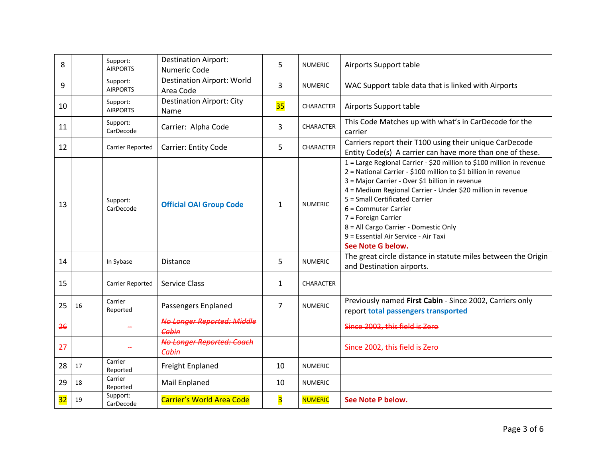| 8  |    | Support:<br><b>AIRPORTS</b> | <b>Destination Airport:</b><br><b>Numeric Code</b> | 5                       | <b>NUMERIC</b>   | Airports Support table                                                                                                                                                                                                                                                                                                                                                                                                                           |
|----|----|-----------------------------|----------------------------------------------------|-------------------------|------------------|--------------------------------------------------------------------------------------------------------------------------------------------------------------------------------------------------------------------------------------------------------------------------------------------------------------------------------------------------------------------------------------------------------------------------------------------------|
| 9  |    | Support:<br><b>AIRPORTS</b> | <b>Destination Airport: World</b><br>Area Code     | 3                       | <b>NUMERIC</b>   | WAC Support table data that is linked with Airports                                                                                                                                                                                                                                                                                                                                                                                              |
| 10 |    | Support:<br><b>AIRPORTS</b> | <b>Destination Airport: City</b><br><b>Name</b>    | 35                      | <b>CHARACTER</b> | Airports Support table                                                                                                                                                                                                                                                                                                                                                                                                                           |
| 11 |    | Support:<br>CarDecode       | Carrier: Alpha Code                                | 3                       | CHARACTER        | This Code Matches up with what's in CarDecode for the<br>carrier                                                                                                                                                                                                                                                                                                                                                                                 |
| 12 |    | Carrier Reported            | <b>Carrier: Entity Code</b>                        | 5                       | CHARACTER        | Carriers report their T100 using their unique CarDecode<br>Entity Code(s) A carrier can have more than one of these.                                                                                                                                                                                                                                                                                                                             |
| 13 |    | Support:<br>CarDecode       | <b>Official OAI Group Code</b>                     | $\mathbf{1}$            | <b>NUMERIC</b>   | 1 = Large Regional Carrier - \$20 million to \$100 million in revenue<br>2 = National Carrier - \$100 million to \$1 billion in revenue<br>3 = Major Carrier - Over \$1 billion in revenue<br>4 = Medium Regional Carrier - Under \$20 million in revenue<br>5 = Small Certificated Carrier<br>6 = Commuter Carrier<br>7 = Foreign Carrier<br>8 = All Cargo Carrier - Domestic Only<br>9 = Essential Air Service - Air Taxi<br>See Note G below. |
| 14 |    | In Sybase                   | <b>Distance</b>                                    | 5                       | <b>NUMERIC</b>   | The great circle distance in statute miles between the Origin<br>and Destination airports.                                                                                                                                                                                                                                                                                                                                                       |
| 15 |    | Carrier Reported            | <b>Service Class</b>                               | $\mathbf{1}$            | CHARACTER        |                                                                                                                                                                                                                                                                                                                                                                                                                                                  |
| 25 | 16 | Carrier<br>Reported         | Passengers Enplaned                                | $\overline{7}$          | <b>NUMERIC</b>   | Previously named First Cabin - Since 2002, Carriers only<br>report total passengers transported                                                                                                                                                                                                                                                                                                                                                  |
| 26 |    |                             | <b>No Longer Reported: Middle</b><br>Cabin         |                         |                  | Since 2002, this field is Zero                                                                                                                                                                                                                                                                                                                                                                                                                   |
| 27 |    |                             | <b>No Longer Reported: Coach</b><br>Cabin          |                         |                  | Since 2002, this field is Zero                                                                                                                                                                                                                                                                                                                                                                                                                   |
| 28 | 17 | Carrier<br>Reported         | Freight Enplaned                                   | 10                      | <b>NUMERIC</b>   |                                                                                                                                                                                                                                                                                                                                                                                                                                                  |
| 29 | 18 | Carrier<br>Reported         | Mail Enplaned                                      | 10                      | <b>NUMERIC</b>   |                                                                                                                                                                                                                                                                                                                                                                                                                                                  |
| 32 | 19 | Support:<br>CarDecode       | <b>Carrier's World Area Code</b>                   | $\overline{\mathbf{3}}$ | <b>NUMERIC</b>   | See Note P below.                                                                                                                                                                                                                                                                                                                                                                                                                                |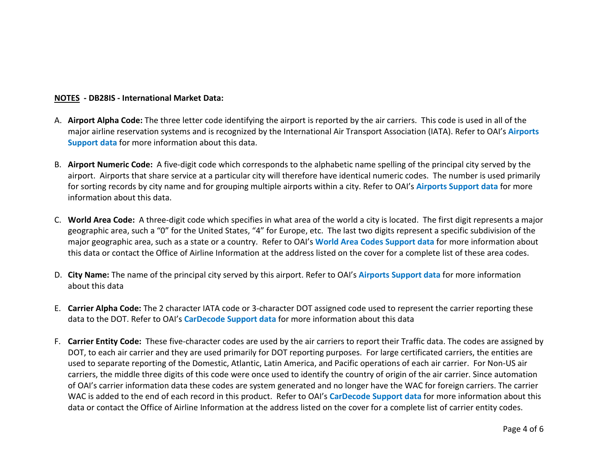#### **NOTES - DB28IS - International Market Data:**

- A. **Airport Alpha Code:** The three letter code identifying the airport is reported by the air carriers. This code is used in all of the major airline reservation systems and is recognized by the International Air Transport Association (IATA). Refer to OAI's **Airports Support data** for more information about this data.
- B. **Airport Numeric Code:** A five-digit code which corresponds to the alphabetic name spelling of the principal city served by the airport. Airports that share service at a particular city will therefore have identical numeric codes. The number is used primarily for sorting records by city name and for grouping multiple airports within a city. Refer to OAI's **Airports Support data** for more information about this data.
- C. **World Area Code:** A three-digit code which specifies in what area of the world a city is located. The first digit represents a major geographic area, such a "0" for the United States, "4" for Europe, etc. The last two digits represent a specific subdivision of the major geographic area, such as a state or a country. Refer to OAI's **World Area Codes Support data** for more information about this data or contact the Office of Airline Information at the address listed on the cover for a complete list of these area codes.
- D. **City Name:** The name of the principal city served by this airport. Refer to OAI's **Airports Support data** for more information about this data
- E. **Carrier Alpha Code:** The 2 character IATA code or 3-character DOT assigned code used to represent the carrier reporting these data to the DOT. Refer to OAI's **CarDecode Support data** for more information about this data
- F. **Carrier Entity Code:** These five-character codes are used by the air carriers to report their Traffic data. The codes are assigned by DOT, to each air carrier and they are used primarily for DOT reporting purposes. For large certificated carriers, the entities are used to separate reporting of the Domestic, Atlantic, Latin America, and Pacific operations of each air carrier. For Non-US air carriers, the middle three digits of this code were once used to identify the country of origin of the air carrier. Since automation of OAI's carrier information data these codes are system generated and no longer have the WAC for foreign carriers. The carrier WAC is added to the end of each record in this product. Refer to OAI's **CarDecode Support data** for more information about this data or contact the Office of Airline Information at the address listed on the cover for a complete list of carrier entity codes.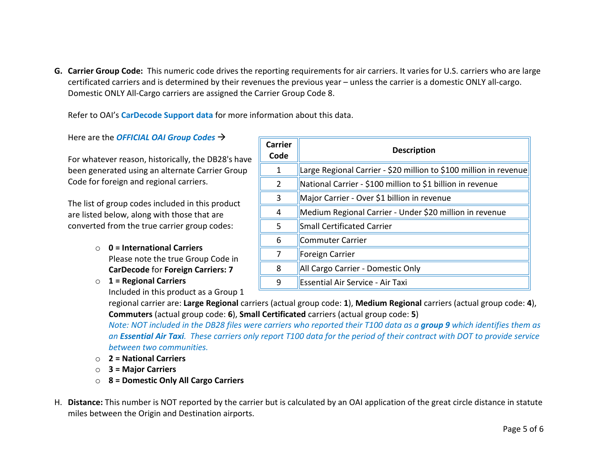**G. Carrier Group Code:** This numeric code drives the reporting requirements for air carriers. It varies for U.S. carriers who are large certificated carriers and is determined by their revenues the previous year – unless the carrier is a domestic ONLY all-cargo. Domestic ONLY All-Cargo carriers are assigned the Carrier Group Code 8.

Refer to OAI's **CarDecode Support data** for more information about this data.

Here are the *OFFICIAL OAI Group Codes*

For whatever reason, historically, the DB28's have been generated using an alternate Carrier Group Code for foreign and regional carriers.

The list of group codes included in this product are listed below, along with those that are converted from the true carrier group codes:

- o **0 = International Carriers** Please note the true Group Code in **CarDecode** for **Foreign Carriers: 7**
- o **1 = Regional Carriers**

Included in this product as a Group 1

| <b>Carrier</b><br>Code | <b>Description</b>                                                |
|------------------------|-------------------------------------------------------------------|
| 1                      | Large Regional Carrier - \$20 million to \$100 million in revenue |
| 2                      | National Carrier - \$100 million to \$1 billion in revenue        |
| 3                      | Major Carrier - Over \$1 billion in revenue                       |
| 4                      | Medium Regional Carrier - Under \$20 million in revenue           |
| 5                      | <b>Small Certificated Carrier</b>                                 |
| 6                      | Commuter Carrier                                                  |
| 7                      | Foreign Carrier                                                   |
| 8                      | All Cargo Carrier - Domestic Only                                 |
| 9                      | <b>Essential Air Service - Air Taxi</b>                           |

regional carrier are: **Large Regional** carriers (actual group code: **1**), **Medium Regional** carriers (actual group code: **4**), **Commuters** (actual group code: **6**), **Small Certificated** carriers (actual group code: **5**)

*Note: NOT included in the DB28 files were carriers who reported their T100 data as a group 9 which identifies them as an Essential Air Taxi. These carriers only report T100 data for the period of their contract with DOT to provide service between two communities.* 

- o **2 = National Carriers**
- o **3 = Major Carriers**
- o **8 = Domestic Only All Cargo Carriers**
- H. **Distance:** This number is NOT reported by the carrier but is calculated by an OAI application of the great circle distance in statute miles between the Origin and Destination airports.